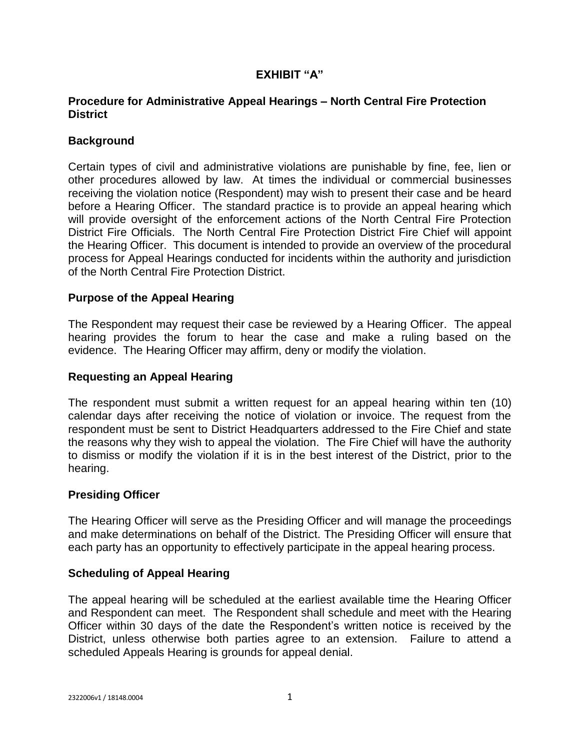# **EXHIBIT "A"**

## **Procedure for Administrative Appeal Hearings – North Central Fire Protection District**

## **Background**

Certain types of civil and administrative violations are punishable by fine, fee, lien or other procedures allowed by law. At times the individual or commercial businesses receiving the violation notice (Respondent) may wish to present their case and be heard before a Hearing Officer. The standard practice is to provide an appeal hearing which will provide oversight of the enforcement actions of the North Central Fire Protection District Fire Officials. The North Central Fire Protection District Fire Chief will appoint the Hearing Officer. This document is intended to provide an overview of the procedural process for Appeal Hearings conducted for incidents within the authority and jurisdiction of the North Central Fire Protection District.

#### **Purpose of the Appeal Hearing**

The Respondent may request their case be reviewed by a Hearing Officer. The appeal hearing provides the forum to hear the case and make a ruling based on the evidence. The Hearing Officer may affirm, deny or modify the violation.

#### **Requesting an Appeal Hearing**

The respondent must submit a written request for an appeal hearing within ten (10) calendar days after receiving the notice of violation or invoice. The request from the respondent must be sent to District Headquarters addressed to the Fire Chief and state the reasons why they wish to appeal the violation. The Fire Chief will have the authority to dismiss or modify the violation if it is in the best interest of the District, prior to the hearing.

## **Presiding Officer**

The Hearing Officer will serve as the Presiding Officer and will manage the proceedings and make determinations on behalf of the District. The Presiding Officer will ensure that each party has an opportunity to effectively participate in the appeal hearing process.

## **Scheduling of Appeal Hearing**

The appeal hearing will be scheduled at the earliest available time the Hearing Officer and Respondent can meet. The Respondent shall schedule and meet with the Hearing Officer within 30 days of the date the Respondent's written notice is received by the District, unless otherwise both parties agree to an extension. Failure to attend a scheduled Appeals Hearing is grounds for appeal denial.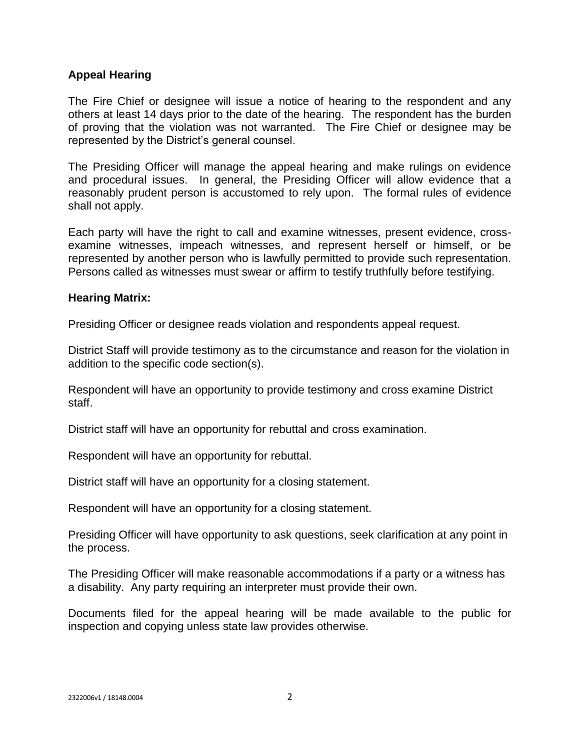#### **Appeal Hearing**

The Fire Chief or designee will issue a notice of hearing to the respondent and any others at least 14 days prior to the date of the hearing. The respondent has the burden of proving that the violation was not warranted. The Fire Chief or designee may be represented by the District's general counsel.

The Presiding Officer will manage the appeal hearing and make rulings on evidence and procedural issues. In general, the Presiding Officer will allow evidence that a reasonably prudent person is accustomed to rely upon. The formal rules of evidence shall not apply.

Each party will have the right to call and examine witnesses, present evidence, crossexamine witnesses, impeach witnesses, and represent herself or himself, or be represented by another person who is lawfully permitted to provide such representation. Persons called as witnesses must swear or affirm to testify truthfully before testifying.

#### **Hearing Matrix:**

Presiding Officer or designee reads violation and respondents appeal request.

District Staff will provide testimony as to the circumstance and reason for the violation in addition to the specific code section(s).

Respondent will have an opportunity to provide testimony and cross examine District staff.

District staff will have an opportunity for rebuttal and cross examination.

Respondent will have an opportunity for rebuttal.

District staff will have an opportunity for a closing statement.

Respondent will have an opportunity for a closing statement.

Presiding Officer will have opportunity to ask questions, seek clarification at any point in the process.

The Presiding Officer will make reasonable accommodations if a party or a witness has a disability. Any party requiring an interpreter must provide their own.

Documents filed for the appeal hearing will be made available to the public for inspection and copying unless state law provides otherwise.